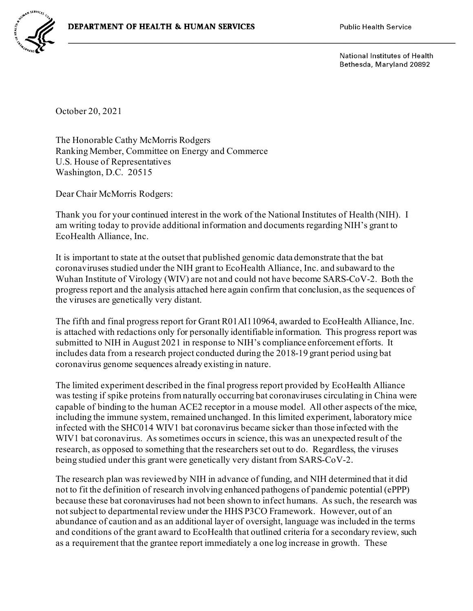

National Institutes of Health Bethesda, Maryland 20892

October 20, 2021

The Honorable Cathy McMorris Rodgers Ranking Member, Committee on Energy and Commerce U.S. House of Representatives Washington, D.C. 20515

Dear Chair McMorris Rodgers:

Thank you for your continued interest in the work of the National Institutes of Health (NIH). I am writing today to provide additional information and documents regarding NIH's grant to EcoHealth Alliance, Inc.

It is important to state at the outset that published genomic data demonstrate that the bat coronaviruses studied under the NIH grant to EcoHealth Alliance, Inc. and subaward to the Wuhan Institute of Virology (WIV) are not and could not have become SARS-CoV-2. Both the progress report and the analysis attached here again confirm that conclusion, as the sequences of the viruses are genetically very distant.

The fifth and final progress report for Grant R01AI110964, awarded to EcoHealth Alliance, Inc. is attached with redactions only for personally identifiable information. This progress report was submitted to NIH in August 2021 in response to NIH's compliance enforcement efforts. It includes data from a research project conducted during the 2018-19 grant period using bat coronavirus genome sequences already existing in nature.

The limited experiment described in the final progress report provided by EcoHealth Alliance was testing if spike proteins from naturally occurring bat coronaviruses circulating in China were capable of binding to the human ACE2 receptor in a mouse model. All other aspects of the mice, including the immune system, remained unchanged. In this limited experiment, laboratory mice infected with the SHC014 WIV1 bat coronavirus became sicker than those infected with the WIV1 bat coronavirus. As sometimes occurs in science, this was an unexpected result of the research, as opposed to something that the researchers set out to do. Regardless, the viruses being studied under this grant were genetically very distant from SARS-CoV-2.

The research plan was reviewed by NIH in advance of funding, and NIH determined that it did not to fit the definition of research involving enhanced pathogens of pandemic potential (ePPP) because these bat coronaviruses had not been shown to infect humans. As such, the research was not subject to departmental review under the HHS P3CO Framework. However, out of an abundance of caution and as an additional layer of oversight, language was included in the terms and conditions of the grant award to EcoHealth that outlined criteria for a secondary review, such as a requirement that the grantee report immediately a one log increase in growth. These